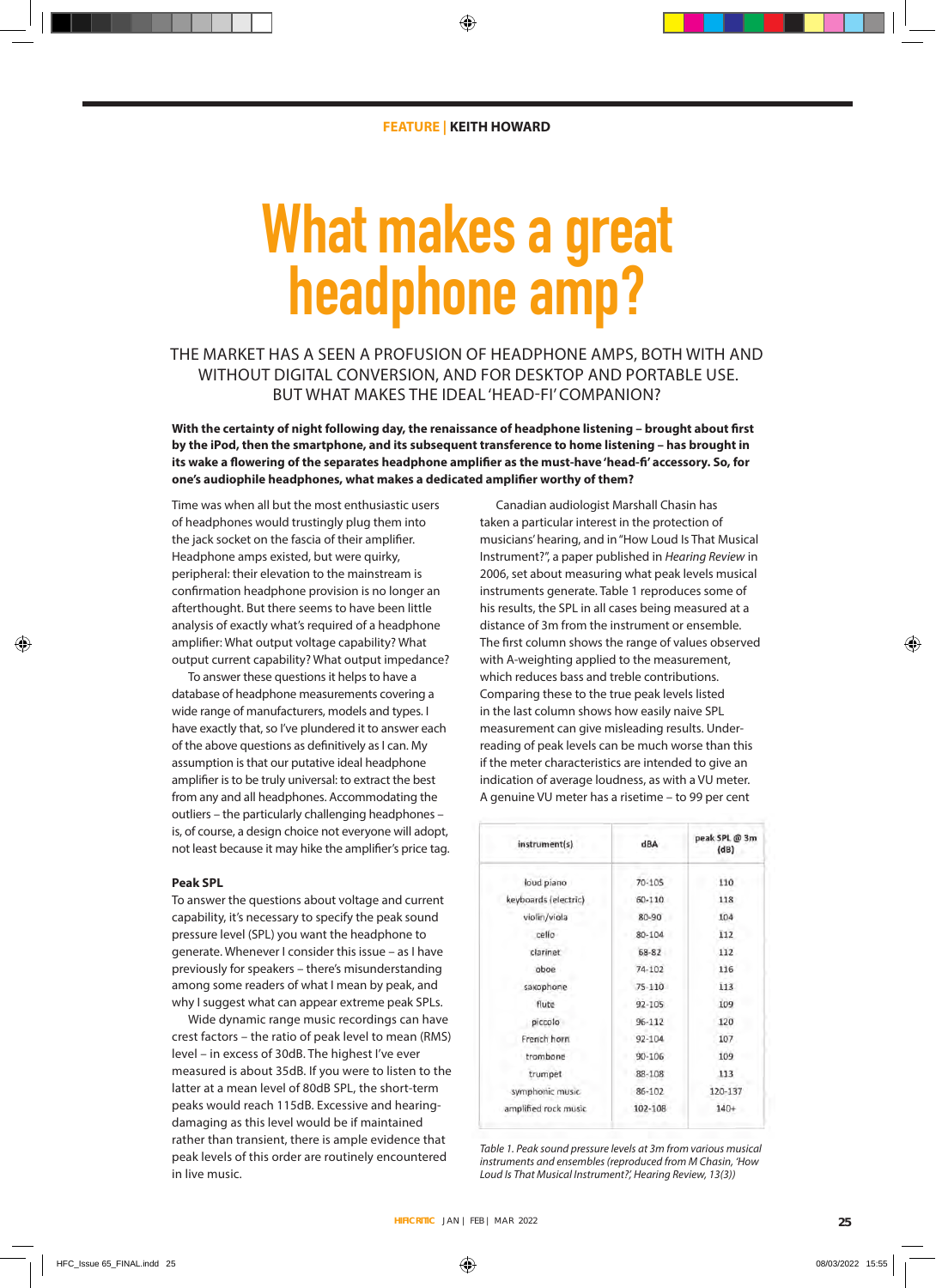# **What makes a great headphone amp?**

THE MARKET HAS A SEEN A PROFUSION OF HEADPHONE AMPS, BOTH WITH AND WITHOUT DIGITAL CONVERSION, AND FOR DESKTOP AND PORTABLE USE. BUT WHAT MAKES THE IDEAL 'HEAD-FI' COMPANION?

**With the certainty of night following day, the renaissance of headphone listening – brought about first by the iPod, then the smartphone, and its subsequent transference to home listening – has brought in its wake a flowering of the separates headphone amplifier as the must-have 'head-fi' accessory. So, for one's audiophile headphones, what makes a dedicated amplifier worthy of them?**

Time was when all but the most enthusiastic users of headphones would trustingly plug them into the jack socket on the fascia of their amplifier. Headphone amps existed, but were quirky, peripheral: their elevation to the mainstream is confirmation headphone provision is no longer an afterthought. But there seems to have been little analysis of exactly what's required of a headphone amplifier: What output voltage capability? What output current capability? What output impedance?

To answer these questions it helps to have a database of headphone measurements covering a wide range of manufacturers, models and types. I have exactly that, so I've plundered it to answer each of the above questions as definitively as I can. My assumption is that our putative ideal headphone amplifier is to be truly universal: to extract the best from any and all headphones. Accommodating the outliers – the particularly challenging headphones – is, of course, a design choice not everyone will adopt, not least because it may hike the amplifier's price tag.

# **Peak SPL**

To answer the questions about voltage and current capability, it's necessary to specify the peak sound pressure level (SPL) you want the headphone to generate. Whenever I consider this issue – as I have previously for speakers – there's misunderstanding among some readers of what I mean by peak, and why I suggest what can appear extreme peak SPLs.

Wide dynamic range music recordings can have crest factors – the ratio of peak level to mean (RMS) level – in excess of 30dB. The highest I've ever measured is about 35dB. If you were to listen to the latter at a mean level of 80dB SPL, the short-term peaks would reach 115dB. Excessive and hearingdamaging as this level would be if maintained rather than transient, there is ample evidence that peak levels of this order are routinely encountered in live music.

Canadian audiologist Marshall Chasin has taken a particular interest in the protection of musicians' hearing, and in "How Loud Is That Musical Instrument?", a paper published in *Hearing Review* in 2006, set about measuring what peak levels musical instruments generate. Table 1 reproduces some of his results, the SPL in all cases being measured at a distance of 3m from the instrument or ensemble. The first column shows the range of values observed with A-weighting applied to the measurement, which reduces bass and treble contributions. Comparing these to the true peak levels listed in the last column shows how easily naive SPL measurement can give misleading results. Underreading of peak levels can be much worse than this if the meter characteristics are intended to give an indication of average loudness, as with a VU meter. A genuine VU meter has a risetime – to 99 per cent

| instrument(s)        | ABA        | peak SPL @ 3m<br>(dB) |
|----------------------|------------|-----------------------|
| loud piano           | 70-105     | 110                   |
| keyboards (electric) | 60-110     | 118                   |
| violin/viola         | 80-90      | 104                   |
| cello                | 80-104     | 112                   |
| clarinet             | 68-82      | 112                   |
| oboe                 | 74-102     | 116                   |
| saxophone            | 75-110     | 113                   |
| flute                | $92 - 105$ | 109                   |
| piccolo              | $96 - 112$ | 120                   |
| French horn          | 92-104     | 107                   |
| trombone             | $90 - 106$ | 109                   |
| trumpet              | 88-108     | 113                   |
| symphonic music      | 86-102     | 120-137               |
| amplified rock music | 102-108    | $140+$                |

*Table 1. Peak sound pressure levels at 3m from various musical instruments and ensembles (reproduced from M Chasin, 'How Loud Is That Musical Instrument?', Hearing Review, 13(3))*